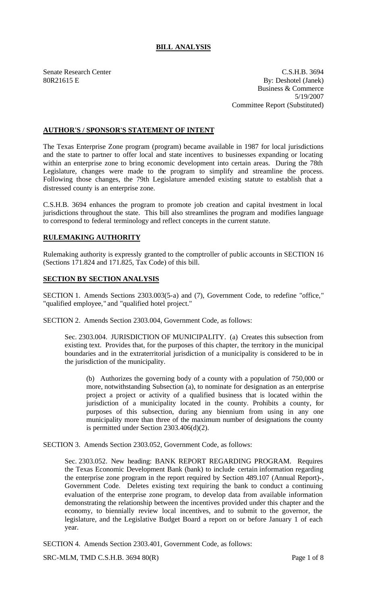# **BILL ANALYSIS**

Senate Research Center C.S.H.B. 3694 80R21615 E By: Deshotel (Janek) Business & Commerce 5/19/2007 Committee Report (Substituted)

### **AUTHOR'S / SPONSOR'S STATEMENT OF INTENT**

The Texas Enterprise Zone program (program) became available in 1987 for local jurisdictions and the state to partner to offer local and state incentives to businesses expanding or locating within an enterprise zone to bring economic development into certain areas. During the 78th Legislature, changes were made to the program to simplify and streamline the process. Following those changes, the 79th Legislature amended existing statute to establish that a distressed county is an enterprise zone.

C.S.H.B. 3694 enhances the program to promote job creation and capital investment in local jurisdictions throughout the state. This bill also streamlines the program and modifies language to correspond to federal terminology and reflect concepts in the current statute.

# **RULEMAKING AUTHORITY**

Rulemaking authority is expressly granted to the comptroller of public accounts in SECTION 16 (Sections 171.824 and 171.825, Tax Code) of this bill.

#### **SECTION BY SECTION ANALYSIS**

SECTION 1. Amends Sections 2303.003(5-a) and (7), Government Code, to redefine "office," "qualified employee," and "qualified hotel project."

SECTION 2. Amends Section 2303.004, Government Code, as follows:

Sec. 2303.004. JURISDICTION OF MUNICIPALITY. (a) Creates this subsection from existing text. Provides that, for the purposes of this chapter, the territory in the municipal boundaries and in the extraterritorial jurisdiction of a municipality is considered to be in the jurisdiction of the municipality.

(b) Authorizes the governing body of a county with a population of 750,000 or more, notwithstanding Subsection (a), to nominate for designation as an enterprise project a project or activity of a qualified business that is located within the jurisdiction of a municipality located in the county. Prohibits a county, for purposes of this subsection, during any biennium from using in any one municipality more than three of the maximum number of designations the county is permitted under Section 2303.406(d)(2).

SECTION 3. Amends Section 2303.052, Government Code, as follows:

Sec. 2303.052. New heading: BANK REPORT REGARDING PROGRAM. Requires the Texas Economic Development Bank (bank) to include certain information regarding the enterprise zone program in the report required by Section 489.107 (Annual Report)-, Government Code. Deletes existing text requiring the bank to conduct a continuing evaluation of the enterprise zone program, to develop data from available information demonstrating the relationship between the incentives provided under this chapter and the economy, to biennially review local incentives, and to submit to the governor, the legislature, and the Legislative Budget Board a report on or before January 1 of each year.

SECTION 4. Amends Section 2303.401, Government Code, as follows:

SRC-MLM, TMD C.S.H.B. 3694 80(R) Page 1 of 8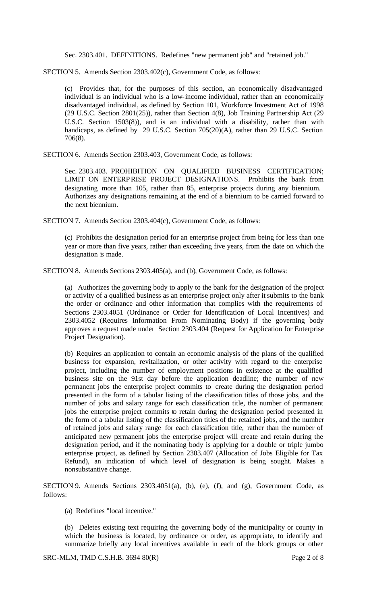Sec. 2303.401. DEFINITIONS. Redefines "new permanent job" and "retained job."

SECTION 5. Amends Section 2303.402(c), Government Code, as follows:

(c) Provides that, for the purposes of this section, an economically disadvantaged individual is an individual who is a low-income individual, rather than an economically disadvantaged individual, as defined by Section 101, Workforce Investment Act of 1998 (29 U.S.C. Section 2801(25)), rather than Section 4(8), Job Training Partnership Act (29 U.S.C. Section 1503(8)), and is an individual with a disability, rather than with handicaps, as defined by 29 U.S.C. Section 705(20)(A), rather than 29 U.S.C. Section 706(8).

SECTION 6. Amends Section 2303.403, Government Code, as follows:

Sec. 2303.403. PROHIBITION ON QUALIFIED BUSINESS CERTIFICATION; LIMIT ON ENTERPRISE PROJECT DESIGNATIONS. Prohibits the bank from designating more than 105, rather than 85, enterprise projects during any biennium. Authorizes any designations remaining at the end of a biennium to be carried forward to the next biennium.

SECTION 7. Amends Section 2303.404(c), Government Code, as follows:

(c) Prohibits the designation period for an enterprise project from being for less than one year or more than five years, rather than exceeding five years, from the date on which the designation is made.

SECTION 8. Amends Sections 2303.405(a), and (b), Government Code, as follows:

(a) Authorizes the governing body to apply to the bank for the designation of the project or activity of a qualified business as an enterprise project only after it submits to the bank the order or ordinance and other information that complies with the requirements of Sections 2303.4051 (Ordinance or Order for Identification of Local Incentives) and 2303.4052 (Requires Information From Nominating Body) if the governing body approves a request made under Section 2303.404 (Request for Application for Enterprise Project Designation).

(b) Requires an application to contain an economic analysis of the plans of the qualified business for expansion, revitalization, or other activity with regard to the enterprise project, including the number of employment positions in existence at the qualified business site on the 91st day before the application deadline; the number of new permanent jobs the enterprise project commits to create during the designation period presented in the form of a tabular listing of the classification titles of those jobs, and the number of jobs and salary range for each classification title, the number of permanent jobs the enterprise project commits to retain during the designation period presented in the form of a tabular listing of the classification titles of the retained jobs, and the number of retained jobs and salary range for each classification title, rather than the number of anticipated new permanent jobs the enterprise project will create and retain during the designation period, and if the nominating body is applying for a double or triple jumbo enterprise project, as defined by Section 2303.407 (Allocation of Jobs Eligible for Tax Refund), an indication of which level of designation is being sought. Makes a nonsubstantive change.

SECTION 9. Amends Sections 2303.4051(a), (b), (e), (f), and (g), Government Code, as follows:

(a) Redefines "local incentive."

(b) Deletes existing text requiring the governing body of the municipality or county in which the business is located, by ordinance or order, as appropriate, to identify and summarize briefly any local incentives available in each of the block groups or other

SRC-MLM, TMD C.S.H.B. 3694 80(R) Page 2 of 8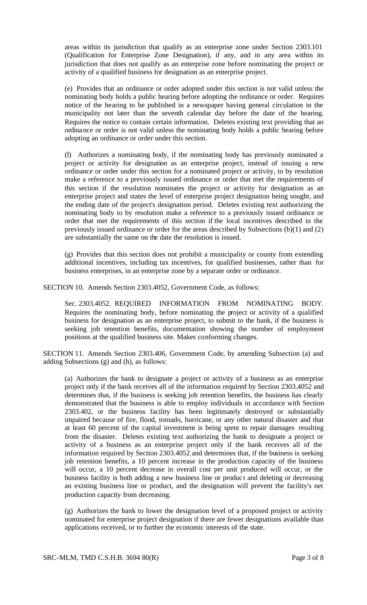areas within its jurisdiction that qualify as an enterprise zone under Section 2303.101 (Qualification for Enterprise Zone Designation), if any, and in any area within its jurisdiction that does not qualify as an enterprise zone before nominating the project or activity of a qualified business for designation as an enterprise project.

(e) Provides that an ordinance or order adopted under this section is not valid unless the nominating body holds a public hearing before adopting the ordinance or order. Requires notice of the hearing to be published in a newspaper having general circulation in the municipality not later than the seventh calendar day before the date of the hearing. Requires the notice to contain certain information. Deletes existing text providing that an ordinance or order is not valid unless the nominating body holds a public hearing before adopting an ordinance or order under this section.

(f) Authorizes a nominating body, if the nominating body has previously nominated a project or activity for designation as an enterprise project, instead of issuing a new ordinance or order under this section for a nominated project or activity, to by resolution make a reference to a previously issued ordinance or order that met the requirements of this section if the resolution nominates the project or activity for designation as an enterprise project and states the level of enterprise project designation being sought, and the ending date of the project's designation period. Deletes existing text authorizing the nominating body to by resolution make a reference to a previously issued ordinance or order that met the requirements of this section if the local incentives described in the previously issued ordinance or order for the areas described by Subsections (b)(1) and (2) are substantially the same on the date the resolution is issued.

(g) Provides that this section does not prohibit a municipality or county from extending additional incentives, including tax incentives, for qualified businesses, rather than for business enterprises, in an enterprise zone by a separate order or ordinance.

SECTION 10. Amends Section 2303.4052, Government Code, as follows:

Sec. 2303.4052. REQUIRED INFORMATION FROM NOMINATING BODY. Requires the nominating body, before nominating the project or activity of a qualified business for designation as an enterprise project, to submit to the bank, if the business is seeking job retention benefits, documentation showing the number of employment positions at the qualified business site. Makes conforming changes.

SECTION 11. Amends Section 2303.406, Government Code, by amending Subsection (a) and adding Subsections (g) and (h), as follows:

(a) Authorizes the bank to designate a project or activity of a business as an enterprise project only if the bank receives all of the information required by Section 2303.4052 and determines that, if the business is seeking job retention benefits, the business has clearly demonstrated that the business is able to employ individuals in accordance with Section 2303.402, or the business facility has been legitimately destroyed or substantially impaired because of fire, flood, tornado, hurricane, or any other natural disaster and that at least 60 percent of the capital investment is being spent to repair damages resulting from the disaster. Deletes existing text authorizing the bank to designate a project or activity of a business as an enterprise project only if the bank receives all of the information required by Section 2303.4052 and determines that, if the business is seeking job retention benefits, a 10 percent increase in the production capacity of the business will occur, a 10 percent decrease in overall cost per unit produced will occur, or the business facility is both adding a new business line or produc t and deleting or decreasing an existing business line or product, and the designation will prevent the facility's net production capacity from decreasing.

(g) Authorizes the bank to lower the designation level of a proposed project or activity nominated for enterprise project designation if there are fewer designations available than applications received, or to further the economic interests of the state.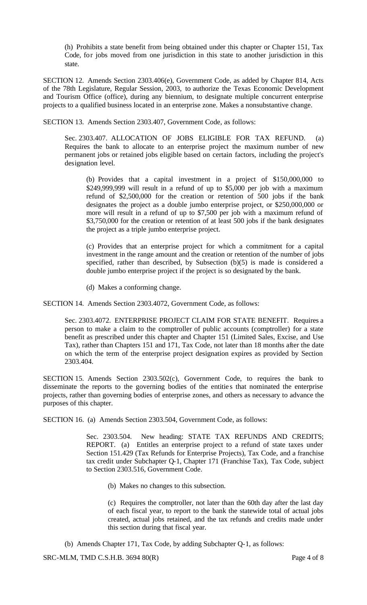(h) Prohibits a state benefit from being obtained under this chapter or Chapter 151, Tax Code, for jobs moved from one jurisdiction in this state to another jurisdiction in this state.

SECTION 12. Amends Section 2303.406(e), Government Code, as added by Chapter 814, Acts of the 78th Legislature, Regular Session, 2003, to authorize the Texas Economic Development and Tourism Office (office), during any biennium, to designate multiple concurrent enterprise projects to a qualified business located in an enterprise zone. Makes a nonsubstantive change.

SECTION 13. Amends Section 2303.407, Government Code, as follows:

Sec. 2303.407. ALLOCATION OF JOBS ELIGIBLE FOR TAX REFUND. (a) Requires the bank to allocate to an enterprise project the maximum number of new permanent jobs or retained jobs eligible based on certain factors, including the project's designation level.

(b) Provides that a capital investment in a project of \$150,000,000 to \$249,999,999 will result in a refund of up to \$5,000 per job with a maximum refund of \$2,500,000 for the creation or retention of 500 jobs if the bank designates the project as a double jumbo enterprise project, or \$250,000,000 or more will result in a refund of up to \$7,500 per job with a maximum refund of \$3,750,000 for the creation or retention of at least 500 jobs if the bank designates the project as a triple jumbo enterprise project.

(c) Provides that an enterprise project for which a commitment for a capital investment in the range amount and the creation or retention of the number of jobs specified, rather than described, by Subsection (b)(5) is made is considered a double jumbo enterprise project if the project is so designated by the bank.

(d) Makes a conforming change.

SECTION 14. Amends Section 2303.4072, Government Code, as follows:

Sec. 2303.4072. ENTERPRISE PROJECT CLAIM FOR STATE BENEFIT. Requires a person to make a claim to the comptroller of public accounts (comptroller) for a state benefit as prescribed under this chapter and Chapter 151 (Limited Sales, Excise, and Use Tax), rather than Chapters 151 and 171, Tax Code, not later than 18 months after the date on which the term of the enterprise project designation expires as provided by Section 2303.404.

SECTION 15. Amends Section 2303.502(c), Government Code, to requires the bank to disseminate the reports to the governing bodies of the entities that nominated the enterprise projects, rather than governing bodies of enterprise zones, and others as necessary to advance the purposes of this chapter.

SECTION 16. (a) Amends Section 2303.504, Government Code, as follows:

Sec. 2303.504. New heading: STATE TAX REFUNDS AND CREDITS; REPORT. (a) Entitles an enterprise project to a refund of state taxes under Section 151.429 (Tax Refunds for Enterprise Projects), Tax Code, and a franchise tax credit under Subchapter Q-1, Chapter 171 (Franchise Tax), Tax Code, subject to Section 2303.516, Government Code.

(b) Makes no changes to this subsection.

(c) Requires the comptroller, not later than the 60th day after the last day of each fiscal year, to report to the bank the statewide total of actual jobs created, actual jobs retained, and the tax refunds and credits made under this section during that fiscal year.

(b) Amends Chapter 171, Tax Code, by adding Subchapter Q-1, as follows:

SRC-MLM, TMD C.S.H.B. 3694 80(R) Page 4 of 8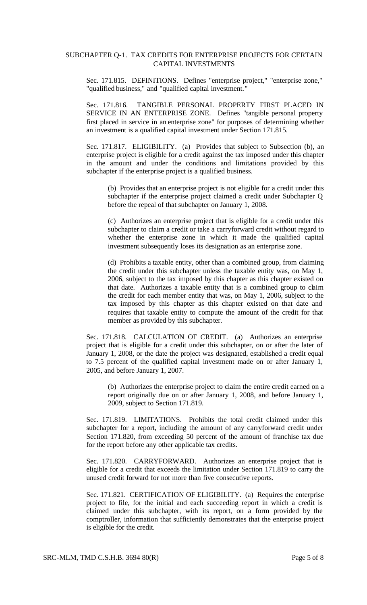#### SUBCHAPTER Q-1. TAX CREDITS FOR ENTERPRISE PROJECTS FOR CERTAIN CAPITAL INVESTMENTS

Sec. 171.815. DEFINITIONS. Defines "enterprise project," "enterprise zone," "qualified business," and "qualified capital investment."

Sec. 171.816. TANGIBLE PERSONAL PROPERTY FIRST PLACED IN SERVICE IN AN ENTERPRISE ZONE. Defines "tangible personal property first placed in service in an enterprise zone" for purposes of determining whether an investment is a qualified capital investment under Section 171.815.

Sec. 171.817. ELIGIBILITY. (a) Provides that subject to Subsection (b), an enterprise project is eligible for a credit against the tax imposed under this chapter in the amount and under the conditions and limitations provided by this subchapter if the enterprise project is a qualified business.

(b) Provides that an enterprise project is not eligible for a credit under this subchapter if the enterprise project claimed a credit under Subchapter Q before the repeal of that subchapter on January 1, 2008.

(c) Authorizes an enterprise project that is eligible for a credit under this subchapter to claim a credit or take a carryforward credit without regard to whether the enterprise zone in which it made the qualified capital investment subsequently loses its designation as an enterprise zone.

(d) Prohibits a taxable entity, other than a combined group, from claiming the credit under this subchapter unless the taxable entity was, on May 1, 2006, subject to the tax imposed by this chapter as this chapter existed on that date. Authorizes a taxable entity that is a combined group to claim the credit for each member entity that was, on May 1, 2006, subject to the tax imposed by this chapter as this chapter existed on that date and requires that taxable entity to compute the amount of the credit for that member as provided by this subchapter.

Sec. 171.818. CALCULATION OF CREDIT. (a) Authorizes an enterprise project that is eligible for a credit under this subchapter, on or after the later of January 1, 2008, or the date the project was designated, established a credit equal to 7.5 percent of the qualified capital investment made on or after January 1, 2005, and before January 1, 2007.

(b) Authorizes the enterprise project to claim the entire credit earned on a report originally due on or after January 1, 2008, and before January 1, 2009, subject to Section 171.819.

Sec. 171.819. LIMITATIONS. Prohibits the total credit claimed under this subchapter for a report, including the amount of any carryforward credit under Section 171.820, from exceeding 50 percent of the amount of franchise tax due for the report before any other applicable tax credits.

Sec. 171.820. CARRYFORWARD. Authorizes an enterprise project that is eligible for a credit that exceeds the limitation under Section 171.819 to carry the unused credit forward for not more than five consecutive reports.

Sec. 171.821. CERTIFICATION OF ELIGIBILITY. (a) Requires the enterprise project to file, for the initial and each succeeding report in which a credit is claimed under this subchapter, with its report, on a form provided by the comptroller, information that sufficiently demonstrates that the enterprise project is eligible for the credit.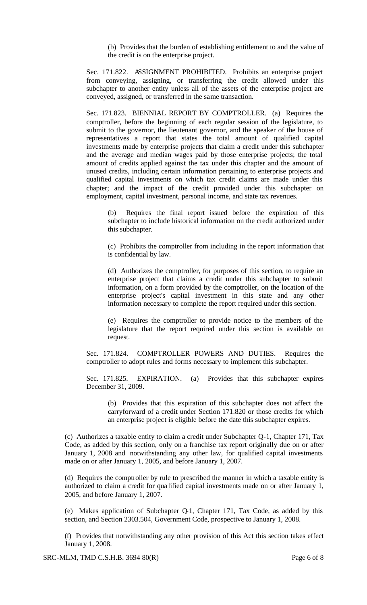(b) Provides that the burden of establishing entitlement to and the value of the credit is on the enterprise project.

Sec. 171.822. ASSIGNMENT PROHIBITED. Prohibits an enterprise project from conveying, assigning, or transferring the credit allowed under this subchapter to another entity unless all of the assets of the enterprise project are conveyed, assigned, or transferred in the same transaction.

Sec. 171.823. BIENNIAL REPORT BY COMPTROLLER. (a) Requires the comptroller, before the beginning of each regular session of the legislature, to submit to the governor, the lieutenant governor, and the speaker of the house of representatives a report that states the total amount of qualified capital investments made by enterprise projects that claim a credit under this subchapter and the average and median wages paid by those enterprise projects; the total amount of credits applied against the tax under this chapter and the amount of unused credits, including certain information pertaining to enterprise projects and qualified capital investments on which tax credit claims are made under this chapter; and the impact of the credit provided under this subchapter on employment, capital investment, personal income, and state tax revenues.

(b) Requires the final report issued before the expiration of this subchapter to include historical information on the credit authorized under this subchapter.

(c) Prohibits the comptroller from including in the report information that is confidential by law.

(d) Authorizes the comptroller, for purposes of this section, to require an enterprise project that claims a credit under this subchapter to submit information, on a form provided by the comptroller, on the location of the enterprise project's capital investment in this state and any other information necessary to complete the report required under this section.

(e) Requires the comptroller to provide notice to the members of the legislature that the report required under this section is available on request.

Sec. 171.824. COMPTROLLER POWERS AND DUTIES. Requires the comptroller to adopt rules and forms necessary to implement this subchapter.

Sec. 171.825. EXPIRATION. (a) Provides that this subchapter expires December 31, 2009.

(b) Provides that this expiration of this subchapter does not affect the carryforward of a credit under Section 171.820 or those credits for which an enterprise project is eligible before the date this subchapter expires.

(c) Authorizes a taxable entity to claim a credit under Subchapter Q-1, Chapter 171, Tax Code, as added by this section, only on a franchise tax report originally due on or after January 1, 2008 and notwithstanding any other law, for qualified capital investments made on or after January 1, 2005, and before January 1, 2007.

(d) Requires the comptroller by rule to prescribed the manner in which a taxable entity is authorized to claim a credit for qua lified capital investments made on or after January 1, 2005, and before January 1, 2007.

(e) Makes application of Subchapter Q-1, Chapter 171, Tax Code, as added by this section, and Section 2303.504, Government Code, prospective to January 1, 2008.

(f) Provides that notwithstanding any other provision of this Act this section takes effect January 1, 2008.

SRC-MLM, TMD C.S.H.B. 3694 80(R) Page 6 of 8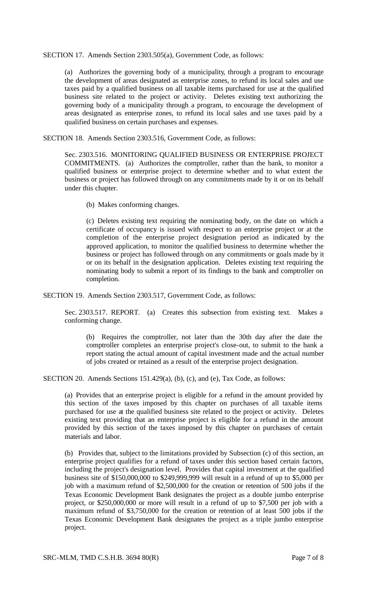SECTION 17. Amends Section 2303.505(a), Government Code, as follows:

(a) Authorizes the governing body of a municipality, through a program to encourage the development of areas designated as enterprise zones, to refund its local sales and use taxes paid by a qualified business on all taxable items purchased for use at the qualified business site related to the project or activity. Deletes existing text authorizing the governing body of a municipality through a program, to encourage the development of areas designated as enterprise zones, to refund its local sales and use taxes paid by a qualified business on certain purchases and expenses.

SECTION 18. Amends Section 2303.516, Government Code, as follows:

Sec. 2303.516. MONITORING QUALIFIED BUSINESS OR ENTERPRISE PROJECT COMMITMENTS. (a) Authorizes the comptroller, rather than the bank, to monitor a qualified business or enterprise project to determine whether and to what extent the business or project has followed through on any commitments made by it or on its behalf under this chapter.

(b) Makes conforming changes.

(c) Deletes existing text requiring the nominating body, on the date on which a certificate of occupancy is issued with respect to an enterprise project or at the completion of the enterprise project designation period as indicated by the approved application, to monitor the qualified business to determine whether the business or project has followed through on any commitments or goals made by it or on its behalf in the designation application. Deletes existing text requiring the nominating body to submit a report of its findings to the bank and comptroller on completion.

SECTION 19. Amends Section 2303.517, Government Code, as follows:

Sec. 2303.517. REPORT. (a) Creates this subsection from existing text. Makes a conforming change.

(b) Requires the comptroller, not later than the 30th day after the date the comptroller completes an enterprise project's close-out, to submit to the bank a report stating the actual amount of capital investment made and the actual number of jobs created or retained as a result of the enterprise project designation.

SECTION 20. Amends Sections 151.429(a), (b), (c), and (e), Tax Code, as follows:

(a) Provides that an enterprise project is eligible for a refund in the amount provided by this section of the taxes imposed by this chapter on purchases of all taxable items purchased for use at the qualified business site related to the project or activity. Deletes existing text providing that an enterprise project is eligible for a refund in the amount provided by this section of the taxes imposed by this chapter on purchases of certain materials and labor.

(b) Provides that, subject to the limitations provided by Subsection (c) of this section, an enterprise project qualifies for a refund of taxes under this section based certain factors, including the project's designation level. Provides that capital investment at the qualified business site of \$150,000,000 to \$249,999,999 will result in a refund of up to \$5,000 per job with a maximum refund of \$2,500,000 for the creation or retention of 500 jobs if the Texas Economic Development Bank designates the project as a double jumbo enterprise project, or \$250,000,000 or more will result in a refund of up to \$7,500 per job with a maximum refund of \$3,750,000 for the creation or retention of at least 500 jobs if the Texas Economic Development Bank designates the project as a triple jumbo enterprise project.